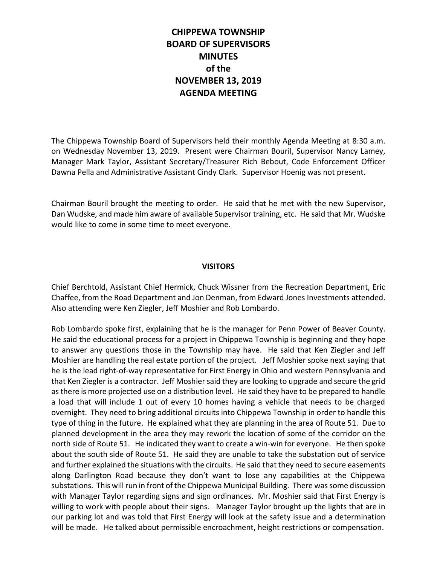# **CHIPPEWA TOWNSHIP BOARD OF SUPERVISORS MINUTES of the NOVEMBER 13, 2019 AGENDA MEETING**

The Chippewa Township Board of Supervisors held their monthly Agenda Meeting at 8:30 a.m. on Wednesday November 13, 2019. Present were Chairman Bouril, Supervisor Nancy Lamey, Manager Mark Taylor, Assistant Secretary/Treasurer Rich Bebout, Code Enforcement Officer Dawna Pella and Administrative Assistant Cindy Clark. Supervisor Hoenig was not present.

Chairman Bouril brought the meeting to order. He said that he met with the new Supervisor, Dan Wudske, and made him aware of available Supervisor training, etc. He said that Mr. Wudske would like to come in some time to meet everyone.

## **VISITORS**

Chief Berchtold, Assistant Chief Hermick, Chuck Wissner from the Recreation Department, Eric Chaffee, from the Road Department and Jon Denman, from Edward Jones Investments attended. Also attending were Ken Ziegler, Jeff Moshier and Rob Lombardo.

Rob Lombardo spoke first, explaining that he is the manager for Penn Power of Beaver County. He said the educational process for a project in Chippewa Township is beginning and they hope to answer any questions those in the Township may have. He said that Ken Ziegler and Jeff Moshier are handling the real estate portion of the project. Jeff Moshier spoke next saying that he is the lead right-of-way representative for First Energy in Ohio and western Pennsylvania and that Ken Ziegler is a contractor. Jeff Moshier said they are looking to upgrade and secure the grid as there is more projected use on a distribution level. He said they have to be prepared to handle a load that will include 1 out of every 10 homes having a vehicle that needs to be charged overnight. They need to bring additional circuits into Chippewa Township in order to handle this type of thing in the future. He explained what they are planning in the area of Route 51. Due to planned development in the area they may rework the location of some of the corridor on the north side of Route 51. He indicated they want to create a win-win for everyone. He then spoke about the south side of Route 51. He said they are unable to take the substation out of service and further explained the situations with the circuits. He said that they need to secure easements along Darlington Road because they don't want to lose any capabilities at the Chippewa substations. This will run in front of the Chippewa Municipal Building. There was some discussion with Manager Taylor regarding signs and sign ordinances. Mr. Moshier said that First Energy is willing to work with people about their signs. Manager Taylor brought up the lights that are in our parking lot and was told that First Energy will look at the safety issue and a determination will be made. He talked about permissible encroachment, height restrictions or compensation.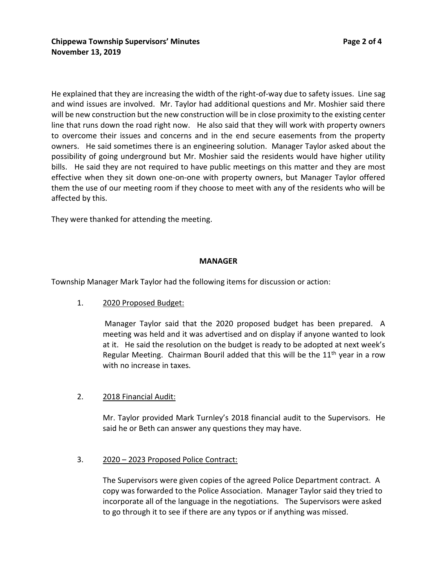He explained that they are increasing the width of the right-of-way due to safety issues. Line sag and wind issues are involved. Mr. Taylor had additional questions and Mr. Moshier said there will be new construction but the new construction will be in close proximity to the existing center line that runs down the road right now. He also said that they will work with property owners to overcome their issues and concerns and in the end secure easements from the property owners. He said sometimes there is an engineering solution. Manager Taylor asked about the possibility of going underground but Mr. Moshier said the residents would have higher utility bills. He said they are not required to have public meetings on this matter and they are most effective when they sit down one-on-one with property owners, but Manager Taylor offered them the use of our meeting room if they choose to meet with any of the residents who will be affected by this.

They were thanked for attending the meeting.

#### **MANAGER**

Township Manager Mark Taylor had the following items for discussion or action:

1. 2020 Proposed Budget:

Manager Taylor said that the 2020 proposed budget has been prepared. A meeting was held and it was advertised and on display if anyone wanted to look at it. He said the resolution on the budget is ready to be adopted at next week's Regular Meeting. Chairman Bouril added that this will be the  $11<sup>th</sup>$  year in a row with no increase in taxes.

## 2. 2018 Financial Audit:

Mr. Taylor provided Mark Turnley's 2018 financial audit to the Supervisors. He said he or Beth can answer any questions they may have.

#### 3. 2020 – 2023 Proposed Police Contract:

The Supervisors were given copies of the agreed Police Department contract. A copy was forwarded to the Police Association. Manager Taylor said they tried to incorporate all of the language in the negotiations. The Supervisors were asked to go through it to see if there are any typos or if anything was missed.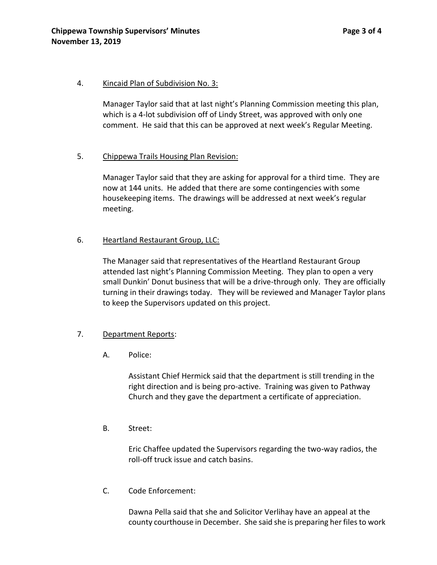#### 4. Kincaid Plan of Subdivision No. 3:

Manager Taylor said that at last night's Planning Commission meeting this plan, which is a 4-lot subdivision off of Lindy Street, was approved with only one comment. He said that this can be approved at next week's Regular Meeting.

## 5. Chippewa Trails Housing Plan Revision:

Manager Taylor said that they are asking for approval for a third time. They are now at 144 units. He added that there are some contingencies with some housekeeping items. The drawings will be addressed at next week's regular meeting.

## 6. Heartland Restaurant Group, LLC:

The Manager said that representatives of the Heartland Restaurant Group attended last night's Planning Commission Meeting. They plan to open a very small Dunkin' Donut business that will be a drive-through only. They are officially turning in their drawings today. They will be reviewed and Manager Taylor plans to keep the Supervisors updated on this project.

## 7. Department Reports:

A. Police:

Assistant Chief Hermick said that the department is still trending in the right direction and is being pro-active. Training was given to Pathway Church and they gave the department a certificate of appreciation.

B. Street:

Eric Chaffee updated the Supervisors regarding the two-way radios, the roll-off truck issue and catch basins.

C. Code Enforcement:

Dawna Pella said that she and Solicitor Verlihay have an appeal at the county courthouse in December. She said she is preparing her files to work